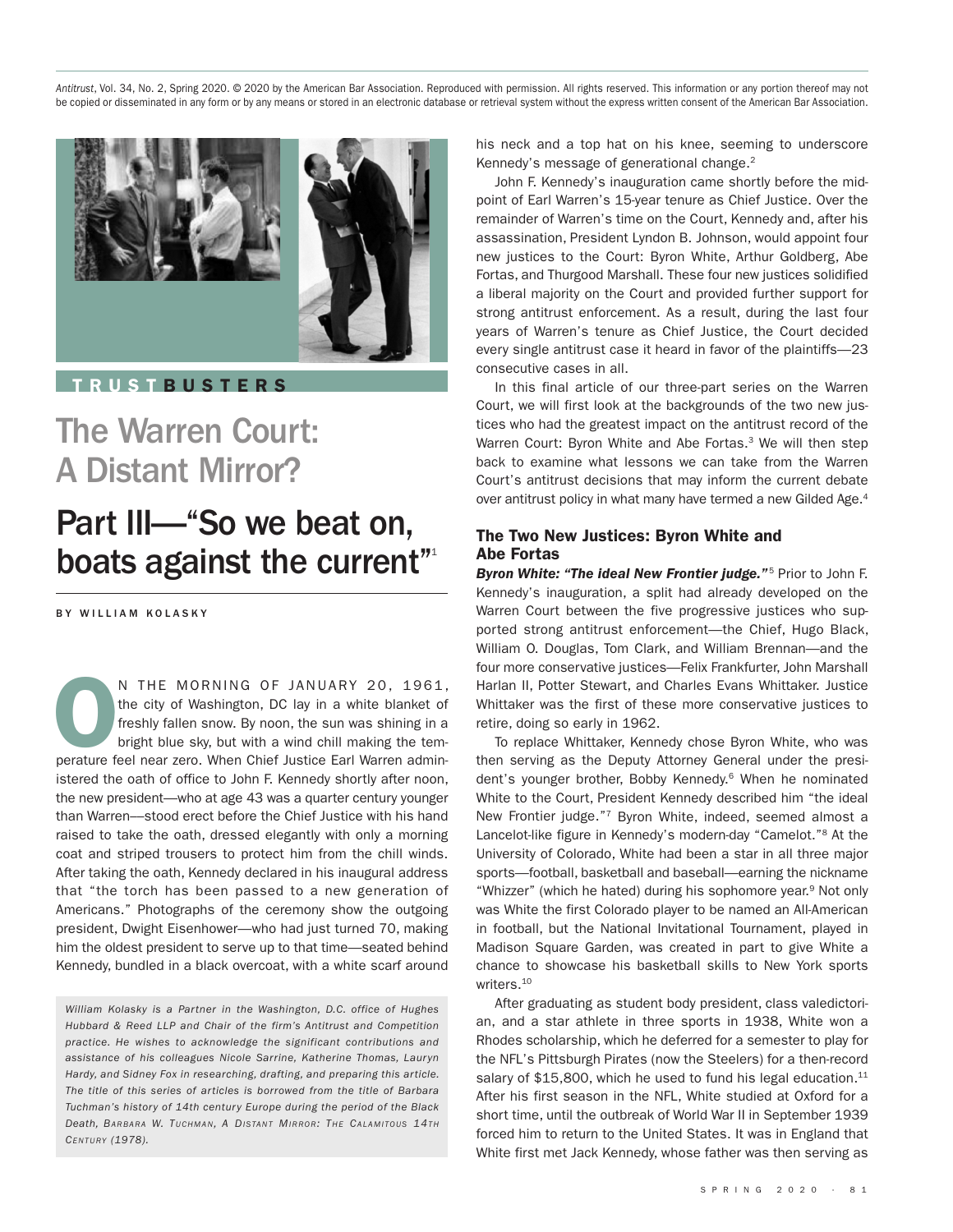*Antitrust*, Vol. 34, No. 2, Spring 2020. © 2020 by the American Bar Association. Reproduced with permission. All rights reserved. This information or any portion thereof may not be copied or disseminated in any form or by any means or stored in an electronic database or retrieval system without the express written consent of the American Bar Association.



**T R U S T B U S T E R S**

# The Warren Court: A Distant Mirror?

# Part III—"So we beat on, boats against the current"<sup>1</sup>

BY WILLIAM KOLASKY

**OCCOMPTED MORNING OF JANUARY 20, 1961,**<br>the city of Washington, DC lay in a white blanket of<br>freshly fallen snow. By noon, the sun was shining in a<br>bright blue sky, but with a wind chill making the tem-<br>perature feel near the city of Washington, DC lay in a white blanket of freshly fallen snow. By noon, the sun was shining in a bright blue sky, but with a wind chill making the temistered the oath of office to John F. Kennedy shortly after noon, the new president—who at age 43 was a quarter century younger than Warren––stood erect before the Chief Justice with his hand raised to take the oath, dressed elegantly with only a morning coat and striped trousers to protect him from the chill winds. After taking the oath, Kennedy declared in his inaugural address that "the torch has been passed to a new generation of Americans." Photographs of the ceremony show the outgoing president, Dwight Eisenhower—who had just turned 70, making him the oldest president to serve up to that time—seated behind Kennedy, bundled in a black overcoat, with a white scarf around

*William Kolasky is a Partner in the Washington, D.C. office of Hughes Hubbard & Reed LLP and Chair of the firm's Antitrust and Competition practice. He wishes to acknowledge the significant contributions and assistance of his colleagues Nicole Sarrine, Katherine Thomas, Lauryn Hardy, and Sidney Fox in researching, drafting, and preparing this article. The title of this series of articles is borrowed from the title of Barbara Tuchman's history of 14th century Europe during the period of the Black Death, BARBARA W. TUCHMAN, A DISTANT MIRROR: THE CALAMI TOUS 14TH CENTURY (1978).*

his neck and a top hat on his knee, seeming to underscore Kennedy's message of generational change.<sup>2</sup>

John F. Kennedy's inauguration came shortly before the midpoint of Earl Warren's 15-year tenure as Chief Justice. Over the remainder of Warren's time on the Court, Kennedy and, after his assassination, President Lyndon B. Johnson, would appoint four new justices to the Court: Byron White, Arthur Goldberg, Abe Fortas, and Thurgood Marshall. These four new justices solidified a liberal majority on the Court and provided further support for strong antitrust enforcement. As a result, during the last four years of Warren's tenure as Chief Justice, the Court decided every single antitrust case it heard in favor of the plaintiffs—23 consecutive cases in all.

In this final article of our three-part series on the Warren Court, we will first look at the backgrounds of the two new justices who had the greatest impact on the antitrust record of the Warren Court: Byron White and Abe Fortas.<sup>3</sup> We will then step back to examine what lessons we can take from the Warren Court's antitrust decisions that may inform the current debate over antitrust policy in what many have termed a new Gilded Age.<sup>4</sup>

### **The Two New Justices: Byron White and Abe Fortas**

*Byron White: "The ideal New Frontier judge."* <sup>5</sup> Prior to John F. Kennedy's inauguration, a split had already developed on the Warren Court between the five progressive justices who supported strong antitrust enforcement—the Chief, Hugo Black, William O. Douglas, Tom Clark, and William Brennan—and the four more conservative justices—Felix Frankfurter, John Marshall Harlan II, Potter Stewart, and Charles Evans Whittaker. Justice Whittaker was the first of these more conservative justices to retire, doing so early in 1962.

To replace Whittaker, Kennedy chose Byron White, who was then serving as the Deputy Attorney General under the president's younger brother, Bobby Kennedy. <sup>6</sup> When he nominated White to the Court, President Kennedy described him "the ideal New Frontier judge."7 Byron White, indeed, seemed almost a Lancelot-like figure in Kennedy's modern-day "Camelot."8 At the University of Colorado, White had been a star in all three major sports—football, basketball and baseball—earning the nickname "Whizzer" (which he hated) during his sophomore year.<sup>9</sup> Not only was White the first Colorado player to be named an All-American in football, but the National Invitational Tournament, played in Madison Square Garden, was created in part to give White a chance to showcase his basketball skills to New York sports writers. 10

After graduating as student body president, class valedictorian, and a star athlete in three sports in 1938, White won a Rhodes scholarship, which he deferred for a semester to play for the NFL's Pittsburgh Pirates (now the Steelers) for a then-record salary of \$15,800, which he used to fund his legal education.<sup>11</sup> After his first season in the NFL, White studied at Oxford for a short time, until the outbreak of World War II in September 1939 forced him to return to the United States. It was in England that White first met Jack Kennedy, whose father was then serving as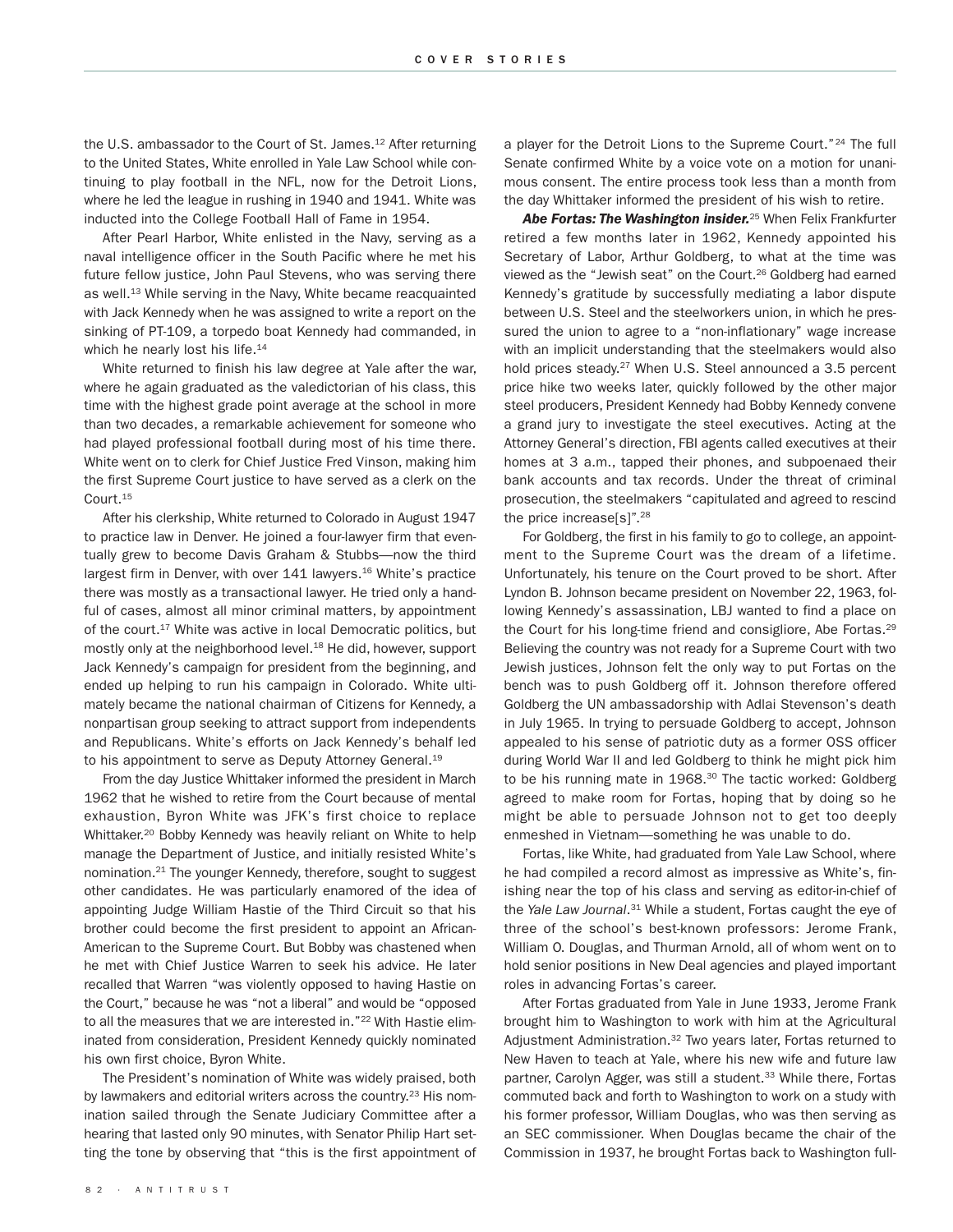the U.S. ambassador to the Court of St. James.<sup>12</sup> After returning to the United States, White enrolled in Yale Law School while continuing to play football in the NFL, now for the Detroit Lions, where he led the league in rushing in 1940 and 1941. White was inducted into the College Football Hall of Fame in 1954.

After Pearl Harbor, White enlisted in the Navy, serving as a naval intelligence officer in the South Pacific where he met his future fellow justice, John Paul Stevens, who was serving there as well. <sup>13</sup> While serving in the Navy, White became reacquainted with Jack Kennedy when he was assigned to write a report on the sinking of PT-109, a torpedo boat Kennedy had commanded, in which he nearly lost his life.<sup>14</sup>

White returned to finish his law degree at Yale after the war, where he again graduated as the valedictorian of his class, this time with the highest grade point average at the school in more than two decades, a remarkable achievement for someone who had played professional football during most of his time there. White went on to clerk for Chief Justice Fred Vinson, making him the first Supreme Court justice to have served as a clerk on the Court. 15

After his clerkship, White returned to Colorado in August 1947 to practice law in Denver. He joined a four-lawyer firm that eventually grew to become Davis Graham & Stubbs—now the third largest firm in Denver, with over 141 lawyers.<sup>16</sup> White's practice there was mostly as a transactional lawyer. He tried only a handful of cases, almost all minor criminal matters, by appointment of the court.<sup>17</sup> White was active in local Democratic politics, but mostly only at the neighborhood level. <sup>18</sup> He did, however, support Jack Kennedy's campaign for president from the beginning, and ended up helping to run his campaign in Colorado. White ultimately became the national chairman of Citizens for Kennedy, a nonpartisan group seeking to attract support from independents and Republicans. White's efforts on Jack Kennedy's behalf led to his appointment to serve as Deputy Attorney General.<sup>19</sup>

From the day Justice Whittaker informed the president in March 1962 that he wished to retire from the Court because of mental exhaustion, Byron White was JFK's first choice to replace Whittaker.<sup>20</sup> Bobby Kennedy was heavily reliant on White to help manage the Department of Justice, and initially resisted White's nomination. <sup>21</sup> The younger Kennedy, therefore, sought to suggest other candidates. He was particularly enamored of the idea of appointing Judge William Hastie of the Third Circuit so that his brother could become the first president to appoint an African-American to the Supreme Court. But Bobby was chastened when he met with Chief Justice Warren to seek his advice. He later recalled that Warren "was violently opposed to having Hastie on the Court," because he was "not a liberal" and would be "opposed to all the measures that we are interested in."<sup>22</sup> With Hastie eliminated from consideration, President Kennedy quickly nominated his own first choice, Byron White.

The President's nomination of White was widely praised, both by lawmakers and editorial writers across the country.<sup>23</sup> His nomination sailed through the Senate Judiciary Committee after a hearing that lasted only 90 minutes, with Senator Philip Hart setting the tone by observing that "this is the first appointment of a player for the Detroit Lions to the Supreme Court."<sup>24</sup> The full Senate confirmed White by a voice vote on a motion for unanimous consent. The entire process took less than a month from the day Whittaker informed the president of his wish to retire.

*Abe Fortas: The Washington insider.* <sup>25</sup> When Felix Frankfurter retired a few months later in 1962, Kennedy appointed his Secretary of Labor, Arthur Goldberg, to what at the time was viewed as the "Jewish seat" on the Court. <sup>26</sup> Goldberg had earned Kennedy's gratitude by successfully mediating a labor dispute between U.S. Steel and the steelworkers union, in which he pressured the union to agree to a "non-inflationary" wage increase with an implicit understanding that the steelmakers would also hold prices steady.<sup>27</sup> When U.S. Steel announced a 3.5 percent price hike two weeks later, quickly followed by the other major steel producers, President Kennedy had Bobby Kennedy convene a grand jury to investigate the steel executives. Acting at the Attorney General's direction, FBI agents called executives at their homes at 3 a.m., tapped their phones, and subpoenaed their bank accounts and tax records. Under the threat of criminal prosecution, the steelmakers "capitulated and agreed to rescind the price increase[s]".28

For Goldberg, the first in his family to go to college, an appointment to the Supreme Court was the dream of a lifetime. Unfortunately, his tenure on the Court proved to be short. After Lyndon B. Johnson became president on November 22, 1963, following Kennedy's assassination, LBJ wanted to find a place on the Court for his long-time friend and consigliore, Abe Fortas.<sup>29</sup> Believing the country was not ready for a Supreme Court with two Jewish justices, Johnson felt the only way to put Fortas on the bench was to push Goldberg off it. Johnson therefore offered Goldberg the UN ambassadorship with Adlai Stevenson's death in July 1965. In trying to persuade Goldberg to accept, Johnson appealed to his sense of patriotic duty as a former OSS officer during World War II and led Goldberg to think he might pick him to be his running mate in 1968.<sup>30</sup> The tactic worked: Goldberg agreed to make room for Fortas, hoping that by doing so he might be able to persuade Johnson not to get too deeply enmeshed in Vietnam—something he was unable to do.

Fortas, like White, had graduated from Yale Law School, where he had compiled a record almost as impressive as White's, finishing near the top of his class and serving as editor-in-chief of the *Yale Law Journal*. <sup>31</sup> While a student, Fortas caught the eye of three of the school's best-known professors: Jerome Frank, William O. Douglas, and Thurman Arnold, all of whom went on to hold senior positions in New Deal agencies and played important roles in advancing Fortas's career.

After Fortas graduated from Yale in June 1933, Jerome Frank brought him to Washington to work with him at the Agricultural Adjustment Administration.<sup>32</sup> Two years later, Fortas returned to New Haven to teach at Yale, where his new wife and future law partner, Carolyn Agger, was still a student.<sup>33</sup> While there, Fortas commuted back and forth to Washington to work on a study with his former professor, William Douglas, who was then serving as an SEC commissioner. When Douglas became the chair of the Commission in 1937, he brought Fortas back to Washington full-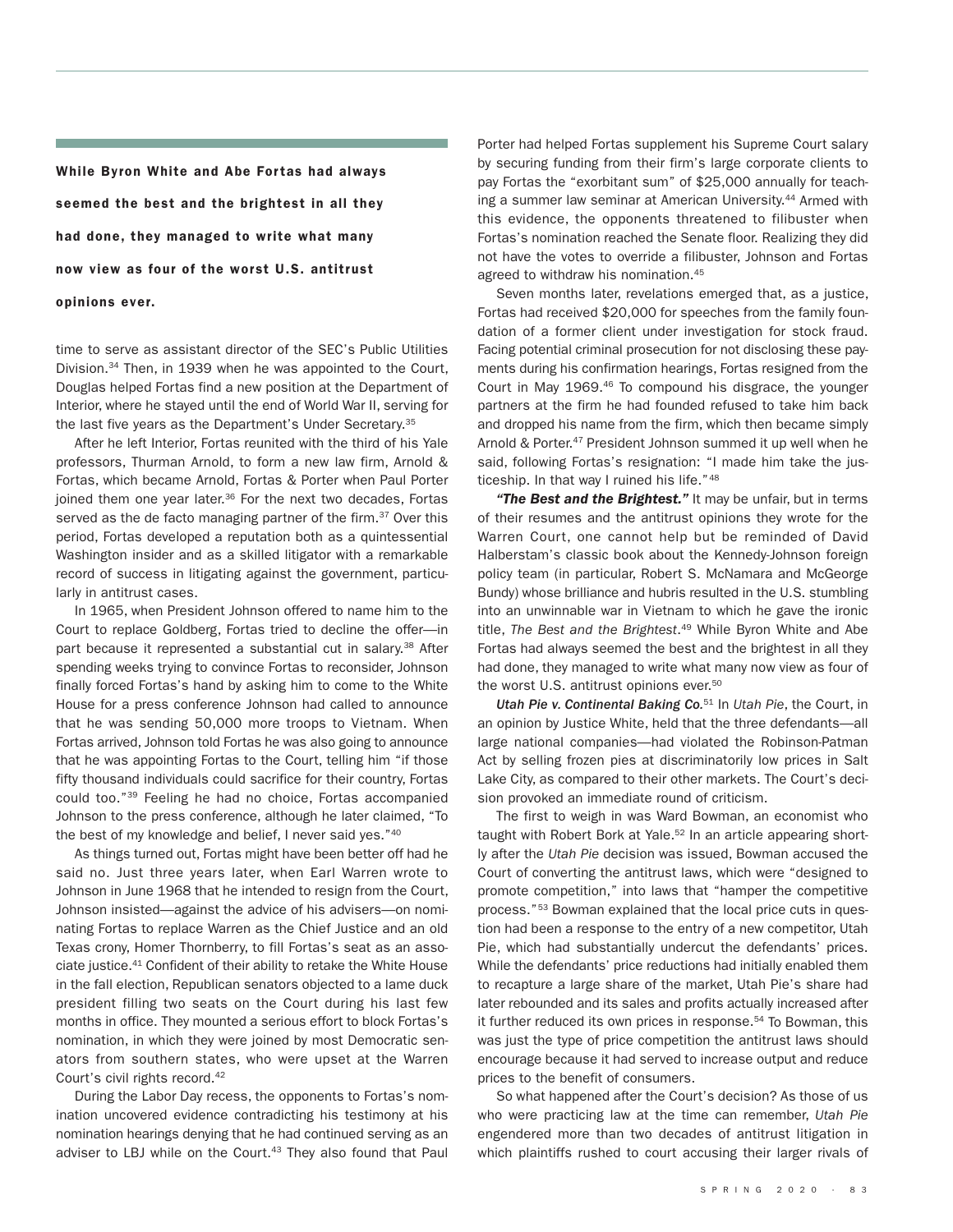**While Byron White and Abe Fortas had always seemed the best and the brightest in all they had done, they managed to write what many now view as four of the worst U.S. antitrust opinions ever.**

time to serve as assistant director of the SEC's Public Utilities Division.<sup>34</sup> Then, in 1939 when he was appointed to the Court, Douglas helped Fortas find a new position at the Department of Interior, where he stayed until the end of World War II, serving for the last five years as the Department's Under Secretary.<sup>35</sup>

After he left Interior, Fortas reunited with the third of his Yale professors, Thurman Arnold, to form a new law firm, Arnold & Fortas, which became Arnold, Fortas & Porter when Paul Porter joined them one year later.<sup>36</sup> For the next two decades, Fortas served as the de facto managing partner of the firm.<sup>37</sup> Over this period, Fortas developed a reputation both as a quintessential Washington insider and as a skilled litigator with a remarkable record of success in litigating against the government, particularly in antitrust cases.

In 1965, when President Johnson offered to name him to the Court to replace Goldberg, Fortas tried to decline the offer—in part because it represented a substantial cut in salary.<sup>38</sup> After spending weeks trying to convince Fortas to reconsider, Johnson finally forced Fortas's hand by asking him to come to the White House for a press conference Johnson had called to announce that he was sending 50,000 more troops to Vietnam. When Fortas arrived, Johnson told Fortas he was also going to announce that he was appointing Fortas to the Court, telling him "if those fifty thousand individuals could sacrifice for their country, Fortas could too."39 Feeling he had no choice, Fortas accompanied Johnson to the press conference, although he later claimed, "To the best of my knowledge and belief, I never said yes."40

As things turned out, Fortas might have been better off had he said no. Just three years later, when Earl Warren wrote to Johnson in June 1968 that he intended to resign from the Court, Johnson insisted—against the advice of his advisers—on nominating Fortas to replace Warren as the Chief Justice and an old Texas crony, Homer Thornberry, to fill Fortas's seat as an associate justice. <sup>41</sup> Confident of their ability to retake the White House in the fall election, Republican senators objected to a lame duck president filling two seats on the Court during his last few months in office. They mounted a serious effort to block Fortas's nomination, in which they were joined by most Democratic senators from southern states, who were upset at the Warren Court's civil rights record. 42

During the Labor Day recess, the opponents to Fortas's nomination uncovered evidence contradicting his testimony at his nomination hearings denying that he had continued serving as an adviser to LBJ while on the Court. <sup>43</sup> They also found that Paul

Porter had helped Fortas supplement his Supreme Court salary by securing funding from their firm's large corporate clients to pay Fortas the "exorbitant sum" of \$25,000 annually for teaching a summer law seminar at American University. <sup>44</sup> Armed with this evidence, the opponents threatened to filibuster when Fortas's nomination reached the Senate floor. Realizing they did not have the votes to override a filibuster, Johnson and Fortas agreed to withdraw his nomination. 45

Seven months later, revelations emerged that, as a justice, Fortas had received \$20,000 for speeches from the family foundation of a former client under investigation for stock fraud. Facing potential criminal prosecution for not disclosing these payments during his confirmation hearings, Fortas resigned from the Court in May 1969.<sup>46</sup> To compound his disgrace, the younger partners at the firm he had founded refused to take him back and dropped his name from the firm, which then became simply Arnold & Porter. <sup>47</sup> President Johnson summed it up well when he said, following Fortas's resignation: "I made him take the justiceship. In that way I ruined his life."48

*"The Best and the Brightest."* It may be unfair, but in terms of their resumes and the antitrust opinions they wrote for the Warren Court, one cannot help but be reminded of David Halberstam's classic book about the Kennedy-Johnson foreign policy team (in particular, Robert S. McNamara and McGeorge Bundy) whose brilliance and hubris resulted in the U.S. stumbling into an unwinnable war in Vietnam to which he gave the ironic title, *The Best and the Brightest*. <sup>49</sup> While Byron White and Abe Fortas had always seemed the best and the brightest in all they had done, they managed to write what many now view as four of the worst U.S. antitrust opinions ever. 50

*Utah Pie v. Continental Baking Co.* <sup>51</sup> In *Utah Pie*, the Court, in an opinion by Justice White, held that the three defendants—all large national companies—had violated the Robinson-Patman Act by selling frozen pies at discriminatorily low prices in Salt Lake City, as compared to their other markets. The Court's decision provoked an immediate round of criticism.

The first to weigh in was Ward Bowman, an economist who taught with Robert Bork at Yale.<sup>52</sup> In an article appearing shortly after the *Utah Pie* decision was issued, Bowman accused the Court of converting the antitrust laws, which were "designed to promote competition," into laws that "hamper the competitive process."<sup>53</sup> Bowman explained that the local price cuts in question had been a response to the entry of a new competitor, Utah Pie, which had substantially undercut the defendants' prices. While the defendants' price reductions had initially enabled them to recapture a large share of the market, Utah Pie's share had later rebounded and its sales and profits actually increased after it further reduced its own prices in response. <sup>54</sup> To Bowman, this was just the type of price competition the antitrust laws should encourage because it had served to increase output and reduce prices to the benefit of consumers.

So what happened after the Court's decision? As those of us who were practicing law at the time can remember, *Utah Pie* engendered more than two decades of antitrust litigation in which plaintiffs rushed to court accusing their larger rivals of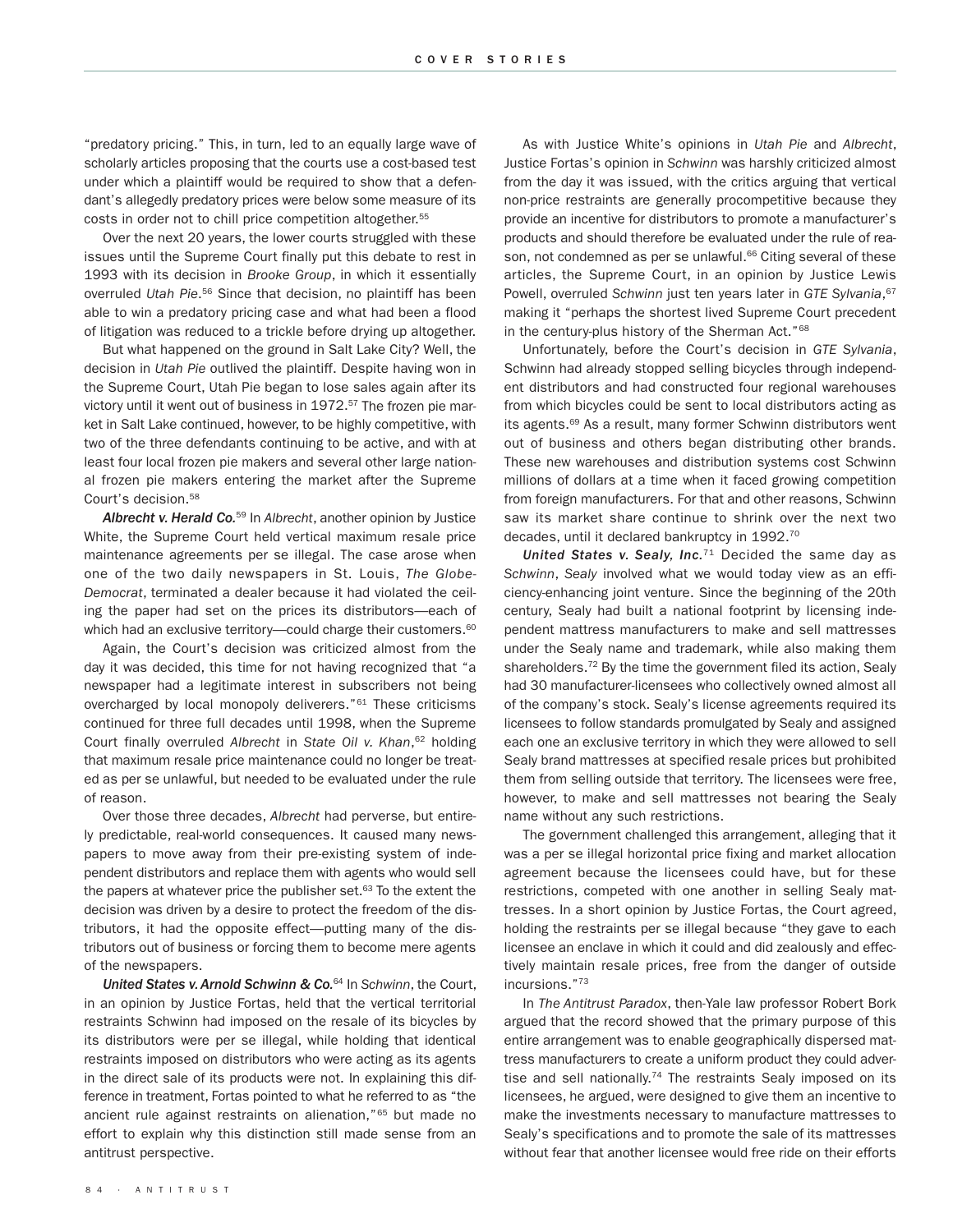"predatory pricing." This, in turn, led to an equally large wave of scholarly articles proposing that the courts use a cost-based test under which a plaintiff would be required to show that a defendant's allegedly predatory prices were below some measure of its costs in order not to chill price competition altogether. 55

Over the next 20 years, the lower courts struggled with these issues until the Supreme Court finally put this debate to rest in 1993 with its decision in *Brooke Group*, in which it essentially overruled *Utah Pie*. <sup>56</sup> Since that decision, no plaintiff has been able to win a predatory pricing case and what had been a flood of litigation was reduced to a trickle before drying up altogether.

But what happened on the ground in Salt Lake City? Well, the decision in *Utah Pie* outlived the plaintiff. Despite having won in the Supreme Court, Utah Pie began to lose sales again after its victory until it went out of business in 1972. <sup>57</sup> The frozen pie market in Salt Lake continued, however, to be highly competitive, with two of the three defendants continuing to be active, and with at least four local frozen pie makers and several other large national frozen pie makers entering the market after the Supreme Court's decision. 58

*Albrecht v. Herald Co.* <sup>59</sup> In *Albrecht*, another opinion by Justice White, the Supreme Court held vertical maximum resale price maintenance agreements per se illegal. The case arose when one of the two daily newspapers in St. Louis, *The Globe-Democrat*, terminated a dealer because it had violated the ceiling the paper had set on the prices its distributors—each of which had an exclusive territory—could charge their customers.<sup>60</sup>

Again, the Court's decision was criticized almost from the day it was decided, this time for not having recognized that "a newspaper had a legitimate interest in subscribers not being overcharged by local monopoly deliverers."61 These criticisms continued for three full decades until 1998, when the Supreme Court finally overruled *Albrecht* in *State Oil v. Khan*, <sup>62</sup> holding that maximum resale price maintenance could no longer be treated as per se unlawful, but needed to be evaluated under the rule of reason.

Over those three decades, *Albrecht* had perverse, but entirely predictable, real-world consequences. It caused many newspapers to move away from their pre-existing system of independent distributors and replace them with agents who would sell the papers at whatever price the publisher set.<sup>63</sup> To the extent the decision was driven by a desire to protect the freedom of the distributors, it had the opposite effect—putting many of the distributors out of business or forcing them to become mere agents of the newspapers.

*United States v.Arnold Schwinn & Co.* <sup>64</sup> In *Schwinn*, the Court, in an opinion by Justice Fortas, held that the vertical territorial restraints Schwinn had imposed on the resale of its bicycles by its distributors were per se illegal, while holding that identical restraints imposed on distributors who were acting as its agents in the direct sale of its products were not. In explaining this difference in treatment, Fortas pointed to what he referred to as "the ancient rule against restraints on alienation,"65 but made no effort to explain why this distinction still made sense from an antitrust perspective.

As with Justice White's opinions in *Utah Pie* and *Albrecht*, Justice Fortas's opinion in *Schwinn* was harshly criticized almost from the day it was issued, with the critics arguing that vertical non-price restraints are generally procompetitive because they provide an incentive for distributors to promote a manufacturer's products and should therefore be evaluated under the rule of reason, not condemned as per se unlawful.<sup>66</sup> Citing several of these articles, the Supreme Court, in an opinion by Justice Lewis Powell, overruled *Schwinn* just ten years later in *GTE Sylvania*, 67 making it "perhaps the shortest lived Supreme Court precedent in the century-plus history of the Sherman Act."<sup>68</sup>

Unfortunately, before the Court's decision in *GTE Sylvania*, Schwinn had already stopped selling bicycles through independent distributors and had constructed four regional warehouses from which bicycles could be sent to local distributors acting as its agents.<sup>69</sup> As a result, many former Schwinn distributors went out of business and others began distributing other brands. These new warehouses and distribution systems cost Schwinn millions of dollars at a time when it faced growing competition from foreign manufacturers. For that and other reasons, Schwinn saw its market share continue to shrink over the next two decades, until it declared bankruptcy in 1992.<sup>70</sup>

*United States v. Sealy, Inc.* <sup>71</sup> Decided the same day as *Schwinn*, *Sealy* involved what we would today view as an efficiency-enhancing joint venture. Since the beginning of the 20th century, Sealy had built a national footprint by licensing independent mattress manufacturers to make and sell mattresses under the Sealy name and trademark, while also making them shareholders.<sup>72</sup> By the time the government filed its action, Sealy had 30 manufacturer-licensees who collectively owned almost all of the company's stock. Sealy's license agreements required its licensees to follow standards promulgated by Sealy and assigned each one an exclusive territory in which they were allowed to sell Sealy brand mattresses at specified resale prices but prohibited them from selling outside that territory. The licensees were free, however, to make and sell mattresses not bearing the Sealy name without any such restrictions.

The government challenged this arrangement, alleging that it was a per se illegal horizontal price fixing and market allocation agreement because the licensees could have, but for these restrictions, competed with one another in selling Sealy mattresses. In a short opinion by Justice Fortas, the Court agreed, holding the restraints per se illegal because "they gave to each licensee an enclave in which it could and did zealously and effectively maintain resale prices, free from the danger of outside incursions."73

In *The Antitrust Paradox*, then-Yale law professor Robert Bork argued that the record showed that the primary purpose of this entire arrangement was to enable geographically dispersed mattress manufacturers to create a uniform product they could advertise and sell nationally.<sup>74</sup> The restraints Sealy imposed on its licensees, he argued, were designed to give them an incentive to make the investments necessary to manufacture mattresses to Sealy's specifications and to promote the sale of its mattresses without fear that another licensee would free ride on their efforts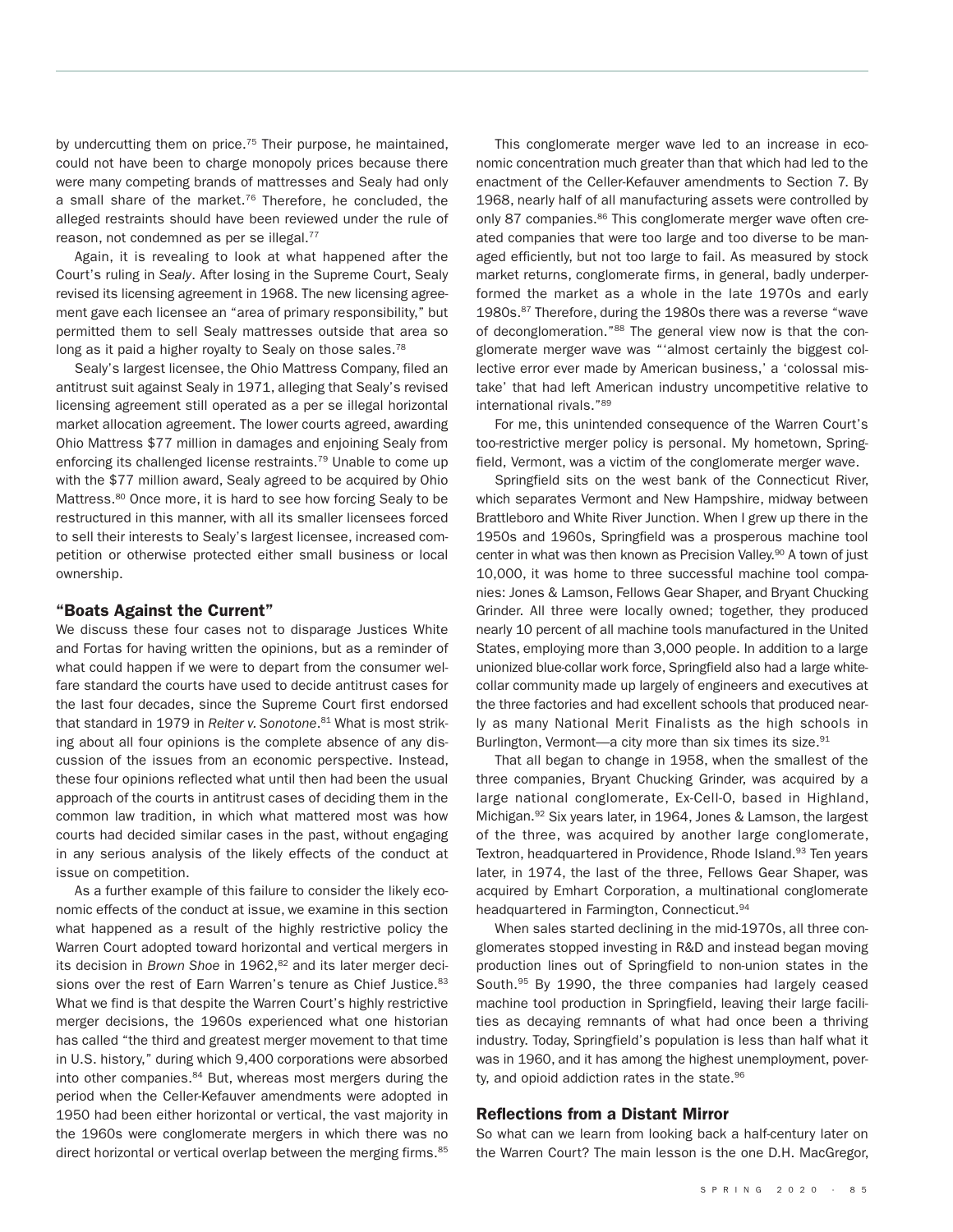by undercutting them on price.<sup>75</sup> Their purpose, he maintained, could not have been to charge monopoly prices because there were many competing brands of mattresses and Sealy had only a small share of the market. <sup>76</sup> Therefore, he concluded, the alleged restraints should have been reviewed under the rule of reason, not condemned as per se illegal.<sup>77</sup>

Again, it is revealing to look at what happened after the Court's ruling in *Sealy*. After losing in the Supreme Court, Sealy revised its licensing agreement in 1968. The new licensing agreement gave each licensee an "area of primary responsibility," but permitted them to sell Sealy mattresses outside that area so long as it paid a higher royalty to Sealy on those sales.<sup>78</sup>

Sealy's largest licensee, the Ohio Mattress Company, filed an antitrust suit against Sealy in 1971, alleging that Sealy's revised licensing agreement still operated as a per se illegal horizontal market allocation agreement. The lower courts agreed, awarding Ohio Mattress \$77 million in damages and enjoining Sealy from enforcing its challenged license restraints.<sup>79</sup> Unable to come up with the \$77 million award, Sealy agreed to be acquired by Ohio Mattress.<sup>80</sup> Once more, it is hard to see how forcing Sealy to be restructured in this manner, with all its smaller licensees forced to sell their interests to Sealy's largest licensee, increased competition or otherwise protected either small business or local ownership.

### **"Boats Against the Current"**

We discuss these four cases not to disparage Justices White and Fortas for having written the opinions, but as a reminder of what could happen if we were to depart from the consumer welfare standard the courts have used to decide antitrust cases for the last four decades, since the Supreme Court first endorsed that standard in 1979 in *Reiter v. Sonotone*. <sup>81</sup> What is most striking about all four opinions is the complete absence of any discussion of the issues from an economic perspective. Instead, these four opinions reflected what until then had been the usual approach of the courts in antitrust cases of deciding them in the common law tradition, in which what mattered most was how courts had decided similar cases in the past, without engaging in any serious analysis of the likely effects of the conduct at issue on competition.

As a further example of this failure to consider the likely economic effects of the conduct at issue, we examine in this section what happened as a result of the highly restrictive policy the Warren Court adopted toward horizontal and vertical mergers in its decision in *Brown Shoe* in 1962, <sup>82</sup> and its later merger decisions over the rest of Earn Warren's tenure as Chief Justice.<sup>83</sup> What we find is that despite the Warren Court's highly restrictive merger decisions, the 1960s experienced what one historian has called "the third and greatest merger movement to that time in U.S. history," during which 9,400 corporations were absorbed into other companies.<sup>84</sup> But, whereas most mergers during the period when the Celler-Kefauver amendments were adopted in 1950 had been either horizontal or vertical, the vast majority in the 1960s were conglomerate mergers in which there was no direct horizontal or vertical overlap between the merging firms.<sup>85</sup>

This conglomerate merger wave led to an increase in economic concentration much greater than that which had led to the enactment of the Celler-Kefauver amendments to Section 7. By 1968, nearly half of all manufacturing assets were controlled by only 87 companies.<sup>86</sup> This conglomerate merger wave often created companies that were too large and too diverse to be managed efficiently, but not too large to fail. As measured by stock market returns, conglomerate firms, in general, badly underperformed the market as a whole in the late 1970s and early 1980s.<sup>87</sup> Therefore, during the 1980s there was a reverse "wave of deconglomeration."<sup>88</sup> The general view now is that the conglomerate merger wave was "'almost certainly the biggest collective error ever made by American business,' a 'colossal mistake' that had left American industry uncompetitive relative to international rivals."89

For me, this unintended consequence of the Warren Court's too-restrictive merger policy is personal. My hometown, Springfield, Vermont, was a victim of the conglomerate merger wave.

Springfield sits on the west bank of the Connecticut River, which separates Vermont and New Hampshire, midway between Brattleboro and White River Junction. When I grew up there in the 1950s and 1960s, Springfield was a prosperous machine tool center in what was then known as Precision Valley.<sup>90</sup> A town of just 10,000, it was home to three successful machine tool companies: Jones & Lamson, Fellows Gear Shaper, and Bryant Chucking Grinder. All three were locally owned; together, they produced nearly 10 percent of all machine tools manufactured in the United States, employing more than 3,000 people. In addition to a large unionized blue-collar work force, Springfield also had a large whitecollar community made up largely of engineers and executives at the three factories and had excellent schools that produced nearly as many National Merit Finalists as the high schools in Burlington, Vermont—a city more than six times its size.<sup>91</sup>

That all began to change in 1958, when the smallest of the three companies, Bryant Chucking Grinder, was acquired by a large national conglomerate, Ex-Cell-O, based in Highland, Michigan.<sup>92</sup> Six years later, in 1964, Jones & Lamson, the largest of the three, was acquired by another large conglomerate, Textron, headquartered in Providence, Rhode Island.<sup>93</sup> Ten years later, in 1974, the last of the three, Fellows Gear Shaper, was acquired by Emhart Corporation, a multinational conglomerate headquartered in Farmington, Connecticut.<sup>94</sup>

When sales started declining in the mid-1970s, all three conglomerates stopped investing in R&D and instead began moving production lines out of Springfield to non-union states in the South. <sup>95</sup> By 1990, the three companies had largely ceased machine tool production in Springfield, leaving their large facilities as decaying remnants of what had once been a thriving industry. Today, Springfield's population is less than half what it was in 1960, and it has among the highest unemployment, poverty, and opioid addiction rates in the state.<sup>96</sup>

#### **Reflections from a Distant Mirror**

So what can we learn from looking back a half-century later on the Warren Court? The main lesson is the one D.H. MacGregor,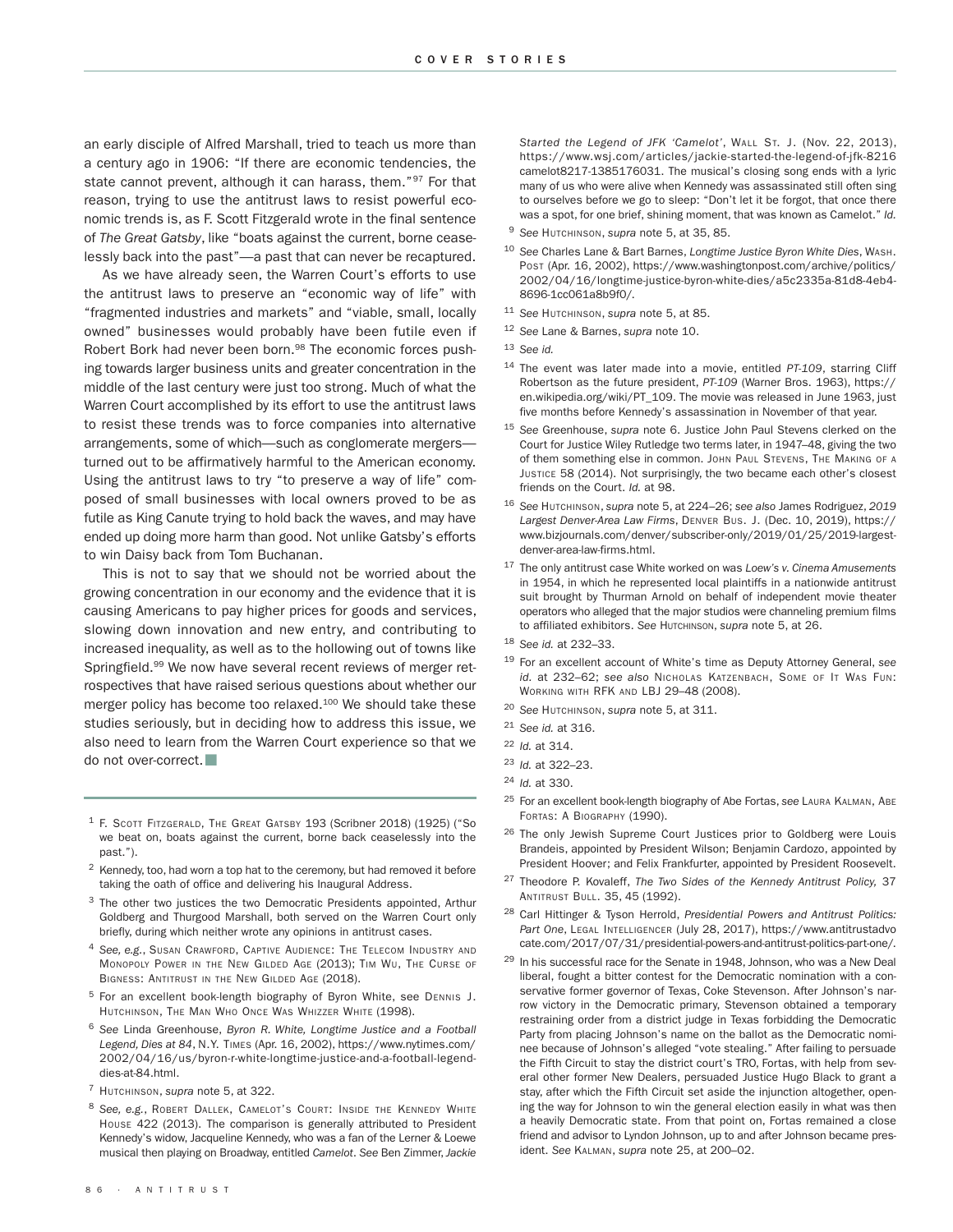an early disciple of Alfred Marshall, tried to teach us more than a century ago in 1906: "If there are economic tendencies, the state cannot prevent, although it can harass, them."<sup>97</sup> For that reason, trying to use the antitrust laws to resist powerful economic trends is, as F. Scott Fitzgerald wrote in the final sentence of *The Great Gatsby*, like "boats against the current, borne ceaselessly back into the past"—a past that can never be recaptured.

As we have already seen, the Warren Court's efforts to use the antitrust laws to preserve an "economic way of life" with "fragmented industries and markets" and "viable, small, locally owned" businesses would probably have been futile even if Robert Bork had never been born.<sup>98</sup> The economic forces pushing towards larger business units and greater concentration in the middle of the last century were just too strong. Much of what the Warren Court accomplished by its effort to use the antitrust laws to resist these trends was to force companies into alternative arrangements, some of which—such as conglomerate mergers turned out to be affirmatively harmful to the American economy. Using the antitrust laws to try "to preserve a way of life" composed of small businesses with local owners proved to be as futile as King Canute trying to hold back the waves, and may have ended up doing more harm than good. Not unlike Gatsby's efforts to win Daisy back from Tom Buchanan.

This is not to say that we should not be worried about the growing concentration in our economy and the evidence that it is causing Americans to pay higher prices for goods and services, slowing down innovation and new entry, and contributing to increased inequality, as well as to the hollowing out of towns like Springfield.<sup>99</sup> We now have several recent reviews of merger retrospectives that have raised serious questions about whether our merger policy has become too relaxed.<sup>100</sup> We should take these studies seriously, but in deciding how to address this issue, we also need to learn from the Warren Court experience so that we do not over-correct.

- <sup>1</sup> F. SCOTT FITZGERALD, THE GREAT GATSBY 193 (Scribner 2018) (1925) ("So we beat on, boats against the current, borne back ceaselessly into the past.").
- <sup>2</sup> Kennedy, too, had worn a top hat to the ceremony, but had removed it before taking the oath of office and delivering his Inaugural Address.
- <sup>3</sup> The other two justices the two Democratic Presidents appointed, Arthur Goldberg and Thurgood Marshall, both served on the Warren Court only briefly, during which neither wrote any opinions in antitrust cases.
- <sup>4</sup> *See, e.g.*, SUSAN CRAWFORD, CAPTIVE AUDIENCE: THE TELECOM INDUSTRY AND MONOPOLY POWER IN THE NEW GILDED AGE (2013); TIM WU, THE CURSE OF BIGNESS: ANTITRUST IN THE NEW GILDED AGE (2018).
- <sup>5</sup> For an excellent book-length biography of Byron White, see DENNIS J. HUTCHINSON, THE MAN WHO ONCE WAS WHIZZER WHITE (1998).
- <sup>6</sup> *See* Linda Greenhouse, *Byron R. White, Longtime Justice and a Football Legend, Dies at 84*, N.Y. TIMES (Apr. 16, 2002), https://www.nytimes.com/ 2002/04/16/us/byron-r-white-longtime-justice-and-a-football-legenddies-at-84.html.
- <sup>7</sup> HUTCHINSON, *supra* note 5, at 322.
- <sup>8</sup> *See, e.g.*, ROBERT DALLEK, CAMELOT'S COURT: INSIDE THE KENNEDY WHITE HOUSE 422 (2013). The comparison is generally attributed to President Kennedy's widow, Jacqueline Kennedy, who was a fan of the Lerner & Loewe musical then playing on Broadway, entitled *Camelot*. *See* Ben Zimmer, *Jackie*

*Started the Legend of JFK 'Camelot'*, WALL ST. J. (Nov. 22, 2013), https://www.wsj.com/articles/jackie-started-the-legend-of-jfk-8216 camelot8217-1385176031. The musical's closing song ends with a lyric many of us who were alive when Kennedy was assassinated still often sing to ourselves before we go to sleep: "Don't let it be forgot, that once there was a spot, for one brief, shining moment, that was known as Camelot." *Id.*

- <sup>9</sup> *See* HUTCHINSON, *supra* note 5, at 35, 85.
- <sup>10</sup> *See* Charles Lane & Bart Barnes, *Longtime Justice Byron White Dies*, WASH. POST (Apr. 16, 2002), https://www.washingtonpost.com/archive/politics/ 2002/04/16/longtime-justice-byron-white-dies/a5c2335a-81d8-4eb4- 8696-1cc061a8b9f0/.
- <sup>11</sup> *See* HUTCHINSON, *supra* note 5, at 85.
- <sup>12</sup> *See* Lane & Barnes, *supra* note 10.
- <sup>13</sup> *See id.*
- <sup>14</sup> The event was later made into a movie, entitled *PT-109*, starring Cliff Robertson as the future president, *PT-109* (Warner Bros. 1963), https:// en.wikipedia.org/wiki/PT\_109. The movie was released in June 1963, just five months before Kennedy's assassination in November of that year.
- <sup>15</sup> *See* Greenhouse, *supra* note 6. Justice John Paul Stevens clerked on the Court for Justice Wiley Rutledge two terms later, in 1947–48, giving the two of them something else in common. JOHN PAUL STEVENS, THE MAKING OF A JUSTICE 58 (2014). Not surprisingly, the two became each other's closest friends on the Court. *Id.* at 98.
- <sup>16</sup> *See* HUTCHINSON, *supra* note 5, at 224–26; *see also* James Rodriguez, *2019 Largest Denver-Area Law Firms*, DENVER BUS. J. (Dec. 10, 2019), https:// www.bizjournals.com/denver/subscriber-only/2019/01/25/2019-largestdenver-area-law-firms.html.
- <sup>17</sup> The only antitrust case White worked on was *Loew's v. Cinema Amusements* in 1954, in which he represented local plaintiffs in a nationwide antitrust suit brought by Thurman Arnold on behalf of independent movie theater operators who alleged that the major studios were channeling premium films to affiliated exhibitors. *See* HUTCHINSON, *supra* note 5, at 26.
- <sup>18</sup> *See id.* at 232–33.
- <sup>19</sup> For an excellent account of White's time as Deputy Attorney General, *see id.* at 232–62; *see also* NICHOLAS KATZENBACH, SOME OF IT WAS FUN: WORKING WITH RFK AND LBJ 29–48 (2008).
- <sup>20</sup> *See* HUTCHINSON, *supra* note 5, at 311.
- <sup>21</sup> *See id.* at 316.
- <sup>22</sup> *Id.* at 314.
- <sup>23</sup> *Id.* at 322–23.
- <sup>24</sup> *Id.* at 330.
- <sup>25</sup> For an excellent book-length biography of Abe Fortas, *see* LAURA KALMAN, ABE FORTAS: A BIOGRAPHY (1990).
- <sup>26</sup> The only Jewish Supreme Court Justices prior to Goldberg were Louis Brandeis, appointed by President Wilson; Benjamin Cardozo, appointed by President Hoover; and Felix Frankfurter, appointed by President Roosevelt.
- <sup>27</sup> Theodore P. Kovaleff, *The Two Sides of the Kennedy Antitrust Policy,* 37 ANTITRUST BULL. 35, 45 (1992).
- <sup>28</sup> Carl Hittinger & Tyson Herrold, *Presidential Powers and Antitrust Politics: Part One*, LEGAL INTELLIGENCER (July 28, 2017), https://www.antitrustadvo cate.com/2017/07/31/presidential-powers-and-antitrust-politics-part-one/.
- $29$  In his successful race for the Senate in 1948, Johnson, who was a New Deal liberal, fought a bitter contest for the Democratic nomination with a conservative former governor of Texas, Coke Stevenson. After Johnson's narrow victory in the Democratic primary, Stevenson obtained a temporary restraining order from a district judge in Texas forbidding the Democratic Party from placing Johnson's name on the ballot as the Democratic nominee because of Johnson's alleged "vote stealing." After failing to persuade the Fifth Circuit to stay the district court's TRO, Fortas, with help from several other former New Dealers, persuaded Justice Hugo Black to grant a stay, after which the Fifth Circuit set aside the injunction altogether, opening the way for Johnson to win the general election easily in what was then a heavily Democratic state. From that point on, Fortas remained a close friend and advisor to Lyndon Johnson, up to and after Johnson became president. *See* KALMAN, *supra* note 25, at 200–02.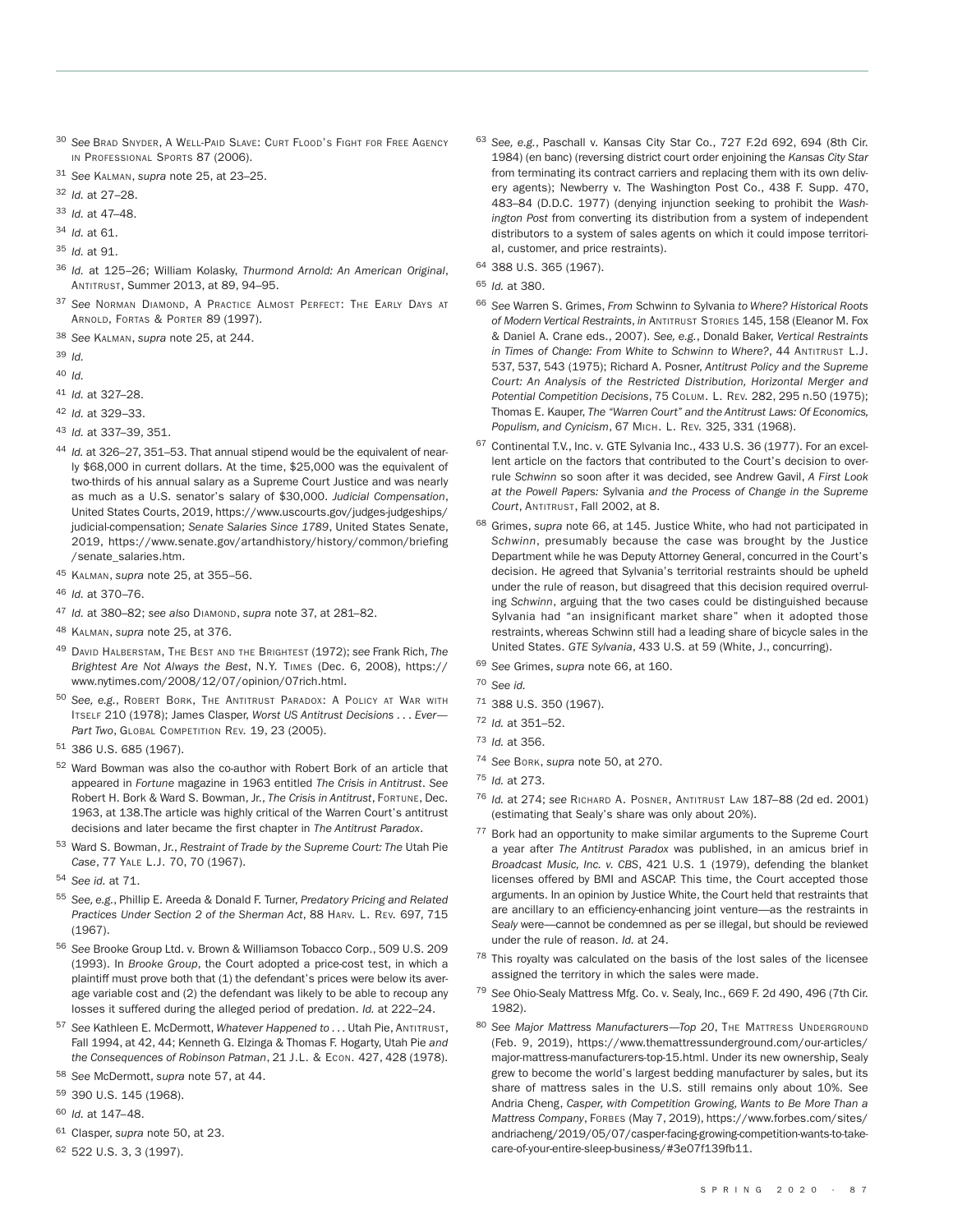- <sup>30</sup> *See* BRAD SNYDER, A WELL-PAID SLAVE: CURT FLOOD'S FIGHT FOR FREE AGENCY IN PROFESSIONAL SPORTS 87 (2006).
- <sup>31</sup> *See* KALMAN, *supra* note 25, at 23–25.

<sup>32</sup> *Id.* at 27–28.

<sup>33</sup> *Id.* at 47–48.

<sup>34</sup> *Id.* at 61.

- <sup>35</sup> *Id.* at 91.
- <sup>36</sup> *Id.* at 125–26; William Kolasky, *Thurmond Arnold: An American Original*, ANTITRUST, Summer 2013, at 89, 94–95.
- <sup>37</sup> *See* NORMAN DIAMOND, A PRACTICE ALMOST PERFECT: THE EARLY DAYS AT ARNOLD, FORTAS & PORTER 89 (1997).

<sup>38</sup> *See* KALMAN, *supra* note 25, at 244.

<sup>39</sup> *Id.*

<sup>40</sup> *Id.*

- <sup>41</sup> *Id.* at 327–28.
- <sup>42</sup> *Id.* at 329–33.
- <sup>43</sup> *Id.* at 337–39, 351.
- <sup>44</sup> *Id.* at 326–27, 351–53. That annual stipend would be the equivalent of nearly \$68,000 in current dollars. At the time, \$25,000 was the equivalent of two-thirds of his annual salary as a Supreme Court Justice and was nearly as much as a U.S. senator's salary of \$30,000. *Judicial Compensation*, United States Courts, 2019, https://www.uscourts.gov/judges-judgeships/ judicial-compensation; *Senate Salaries Since 1789*, United States Senate, 2019, https://www.senate.gov/artandhistory/history/common/briefing /senate\_salaries.htm.
- <sup>45</sup> KALMAN, *supra* note 25, at 355–56.
- <sup>46</sup> *Id.* at 370–76.
- <sup>47</sup> *Id.* at 380–82; *see also* DIAMOND, *supra* note 37, at 281–82.
- <sup>48</sup> KALMAN, *supra* note 25, at 376.
- <sup>49</sup> DAVID HALBERSTAM, THE BEST AND THE BRIGHTEST (1972); *see* Frank Rich, *The Brightest Are Not Always the Best*, N.Y. TIMES (Dec. 6, 2008), https:// www.nytimes.com/2008/12/07/opinion/07rich.html.
- <sup>50</sup> *See, e.g.*, ROBERT BORK, THE ANTITRUST PARADOX: A POLICY AT WAR WITH ITSELF 210 (1978); James Clasper, *Worst US Antitrust Decisions . . . Ever—* Part Two, GLOBAL COMPETITION REV. 19, 23 (2005).
- <sup>51</sup> 386 U.S. 685 (1967).
- <sup>52</sup> Ward Bowman was also the co-author with Robert Bork of an article that appeared in *Fortune* magazine in 1963 entitled *The Crisis in Antitrust*. *See* Robert H. Bork & Ward S. Bowman, Jr., *The Crisis in Antitrust*, FORTUNE, Dec. 1963, at 138.The article was highly critical of the Warren Court's antitrust decisions and later became the first chapter in *The Antitrust Paradox*.
- <sup>53</sup> Ward S. Bowman, Jr., *Restraint of Trade by the Supreme Court: The* Utah Pie *Case*, 77 YALE L.J. 70, 70 (1967).
- <sup>54</sup> *See id.* at 71.
- <sup>55</sup> *See, e.g.*, Phillip E. Areeda & Donald F. Turner, *Predatory Pricing and Related Practices Under Section 2 of the Sherman Act*, 88 HARV. L. REV. 697, 715 (1967).
- <sup>56</sup> *See* Brooke Group Ltd. v. Brown & Williamson Tobacco Corp., 509 U.S. 209 (1993). In *Brooke Group*, the Court adopted a price-cost test, in which a plaintiff must prove both that (1) the defendant's prices were below its average variable cost and (2) the defendant was likely to be able to recoup any losses it suffered during the alleged period of predation. *Id.* at 222–24.
- <sup>57</sup> *See* Kathleen E. McDermott, *Whatever Happened to . . .* Utah Pie, ANTITRUST, Fall 1994, at 42, 44; Kenneth G. Elzinga & Thomas F. Hogarty, Utah Pie *and the Consequences of Robinson Patman*, 21 J.L. & ECON. 427, 428 (1978).
- <sup>58</sup> *See* McDermott, *supra* note 57, at 44.
- <sup>59</sup> 390 U.S. 145 (1968).
- <sup>60</sup> *Id.* at 147–48.
- <sup>61</sup> Clasper, *supra* note 50, at 23.
- <sup>62</sup> 522 U.S. 3, 3 (1997).
- <sup>63</sup> *See, e.g.*, Paschall v. Kansas City Star Co., 727 F.2d 692, 694 (8th Cir. 1984) (en banc) (reversing district court order enjoining the *Kansas City Star* from terminating its contract carriers and replacing them with its own delivery agents); Newberry v. The Washington Post Co., 438 F. Supp. 470, 483–84 (D.D.C. 1977) (denying injunction seeking to prohibit the *Washington Post* from converting its distribution from a system of independent distributors to a system of sales agents on which it could impose territorial, customer, and price restraints).
- <sup>64</sup> 388 U.S. 365 (1967).
- <sup>65</sup> *Id.* at 380.
- <sup>66</sup> *See* Warren S. Grimes, *From* Schwinn *to* Sylvania *to Where? Historical Roots of Modern Vertical Restraints*, *in* ANTITRUST STORIES 145, 158 (Eleanor M. Fox & Daniel A. Crane eds., 2007). *See, e.g.*, Donald Baker, *Vertical Restraints in Times of Change: From White to Schwinn to Where?*, 44 ANTITRUST L.J. 537, 537, 543 (1975); Richard A. Posner, *Antitrust Policy and the Supreme Court: An Analysis of the Restricted Distribution, Horizontal Merger and Potential Competition Decisions*, 75 COLUM. L. REV. 282, 295 n.50 (1975); Thomas E. Kauper, *The "Warren Court" and the Antitrust Laws: Of Economics, Populism, and Cynicism*, 67 MICH. L. REV. 325, 331 (1968).
- <sup>67</sup> Continental T.V., Inc. v. GTE Sylvania Inc., 433 U.S. 36 (1977). For an excellent article on the factors that contributed to the Court's decision to overrule *Schwinn* so soon after it was decided, see Andrew Gavil, *A First Look at the Powell Papers:* Sylvania *and the Process of Change in the Supreme Court*, ANTITRUST, Fall 2002, at 8.
- <sup>68</sup> Grimes, *supra* note 66, at 145. Justice White, who had not participated in *Schwinn*, presumably because the case was brought by the Justice Department while he was Deputy Attorney General, concurred in the Court's decision. He agreed that Sylvania's territorial restraints should be upheld under the rule of reason, but disagreed that this decision required overruling *Schwinn*, arguing that the two cases could be distinguished because Sylvania had "an insignificant market share" when it adopted those restraints, whereas Schwinn still had a leading share of bicycle sales in the United States. *GTE Sylvania*, 433 U.S. at 59 (White, J., concurring).
- <sup>69</sup> *See* Grimes, *supra* note 66, at 160.
- <sup>70</sup> *See id.*
- <sup>71</sup> 388 U.S. 350 (1967).
- <sup>72</sup> *Id.* at 351–52.
- <sup>73</sup> *Id.* at 356.
- <sup>74</sup> *See* BORK, *supra* note 50, at 270.
- <sup>75</sup> *Id.* at 273.
- <sup>76</sup> *Id.* at 274; *see* RICHARD A. POSNER, ANTITRUST LAW 187–88 (2d ed. 2001) (estimating that Sealy's share was only about 20%).
- <sup>77</sup> Bork had an opportunity to make similar arguments to the Supreme Court a year after *The Antitrust Paradox* was published, in an amicus brief in *Broadcast Music, Inc. v. CBS*, 421 U.S. 1 (1979), defending the blanket licenses offered by BMI and ASCAP. This time, the Court accepted those arguments. In an opinion by Justice White, the Court held that restraints that are ancillary to an efficiency-enhancing joint venture—as the restraints in *Sealy* were—cannot be condemned as per se illegal, but should be reviewed under the rule of reason. *Id.* at 24.
- $78$  This royalty was calculated on the basis of the lost sales of the licensee assigned the territory in which the sales were made.
- <sup>79</sup> *See* Ohio-Sealy Mattress Mfg. Co. v. Sealy, Inc., 669 F. 2d 490, 496 (7th Cir. 1982).
- <sup>80</sup> *See Major Mattress Manufacturers—Top 20*, THE MATTRESS UNDERGROUND (Feb. 9, 2019), https://www.themattressunderground.com/our-articles/ major-mattress-manufacturers-top-15.html. Under its new ownership, Sealy grew to become the world's largest bedding manufacturer by sales, but its share of mattress sales in the U.S. still remains only about 10%. See Andria Cheng, *Casper, with Competition Growing, Wants to Be More Than a Mattress Company*, FORBES (May 7, 2019), https://www.forbes.com/sites/ andriacheng/2019/05/07/casper-facing-growing-competition-wants-to-takecare-of-your-entire-sleep-business/#3e07f139fb11.